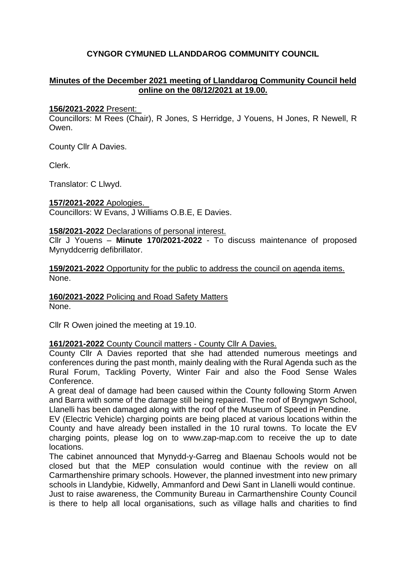# **CYNGOR CYMUNED LLANDDAROG COMMUNITY COUNCIL**

## **Minutes of the December 2021 meeting of Llanddarog Community Council held online on the 08/12/2021 at 19.00.**

#### **156/2021-2022** Present:

Councillors: M Rees (Chair), R Jones, S Herridge, J Youens, H Jones, R Newell, R Owen.

County Cllr A Davies.

Clerk.

Translator: C Llwyd.

**157/2021-2022** Apologies.

Councillors: W Evans, J Williams O.B.E, E Davies.

#### **158/2021-2022** Declarations of personal interest.

Cllr J Youens – **Minute 170/2021-2022** - To discuss maintenance of proposed Mynyddcerrig defibrillator.

**159/2021-2022** Opportunity for the public to address the council on agenda items. None.

**160/2021-2022** Policing and Road Safety Matters

None.

Cllr R Owen joined the meeting at 19.10.

**161/2021-2022** County Council matters - County Cllr A Davies.

County Cllr A Davies reported that she had attended numerous meetings and conferences during the past month, mainly dealing with the Rural Agenda such as the Rural Forum, Tackling Poverty, Winter Fair and also the Food Sense Wales Conference.

A great deal of damage had been caused within the County following Storm Arwen and Barra with some of the damage still being repaired. The roof of Bryngwyn School, Llanelli has been damaged along with the roof of the Museum of Speed in Pendine.

EV (Electric Vehicle) charging points are being placed at various locations within the County and have already been installed in the 10 rural towns. To locate the EV charging points, please log on to www.zap-map.com to receive the up to date locations.

The cabinet announced that Mynydd-y-Garreg and Blaenau Schools would not be closed but that the MEP consulation would continue with the review on all Carmarthenshire primary schools. However, the planned investment into new primary schools in Llandybie, Kidwelly, Ammanford and Dewi Sant in Llanelli would continue. Just to raise awareness, the Community Bureau in Carmarthenshire County Council is there to help all local organisations, such as village halls and charities to find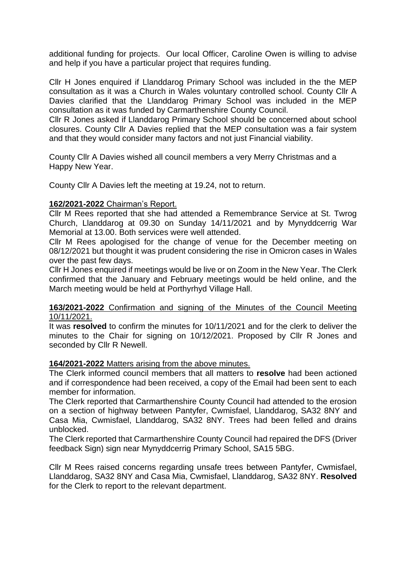additional funding for projects. Our local Officer, Caroline Owen is willing to advise and help if you have a particular project that requires funding.

Cllr H Jones enquired if Llanddarog Primary School was included in the the MEP consultation as it was a Church in Wales voluntary controlled school. County Cllr A Davies clarified that the Llanddarog Primary School was included in the MEP consultation as it was funded by Carmarthenshire County Council.

Cllr R Jones asked if Llanddarog Primary School should be concerned about school closures. County Cllr A Davies replied that the MEP consultation was a fair system and that they would consider many factors and not just Financial viability.

County Cllr A Davies wished all council members a very Merry Christmas and a Happy New Year.

County Cllr A Davies left the meeting at 19.24, not to return.

## **162/2021-2022** Chairman's Report.

Cllr M Rees reported that she had attended a Remembrance Service at St. Twrog Church, Llanddarog at 09.30 on Sunday 14/11/2021 and by Mynyddcerrig War Memorial at 13.00. Both services were well attended.

Cllr M Rees apologised for the change of venue for the December meeting on 08/12/2021 but thought it was prudent considering the rise in Omicron cases in Wales over the past few days.

Cllr H Jones enquired if meetings would be live or on Zoom in the New Year. The Clerk confirmed that the January and February meetings would be held online, and the March meeting would be held at Porthyrhyd Village Hall.

#### **163/2021-2022** Confirmation and signing of the Minutes of the Council Meeting 10/11/2021.

It was **resolved** to confirm the minutes for 10/11/2021 and for the clerk to deliver the minutes to the Chair for signing on 10/12/2021. Proposed by Cllr R Jones and seconded by Cllr R Newell.

## **164/2021-2022** Matters arising from the above minutes.

The Clerk informed council members that all matters to **resolve** had been actioned and if correspondence had been received, a copy of the Email had been sent to each member for information.

The Clerk reported that Carmarthenshire County Council had attended to the erosion on a section of highway between Pantyfer, Cwmisfael, Llanddarog, SA32 8NY and Casa Mia, Cwmisfael, Llanddarog, SA32 8NY. Trees had been felled and drains unblocked.

The Clerk reported that Carmarthenshire County Council had repaired the DFS (Driver feedback Sign) sign near Mynyddcerrig Primary School, SA15 5BG.

Cllr M Rees raised concerns regarding unsafe trees between Pantyfer, Cwmisfael, Llanddarog, SA32 8NY and Casa Mia, Cwmisfael, Llanddarog, SA32 8NY. **Resolved** for the Clerk to report to the relevant department.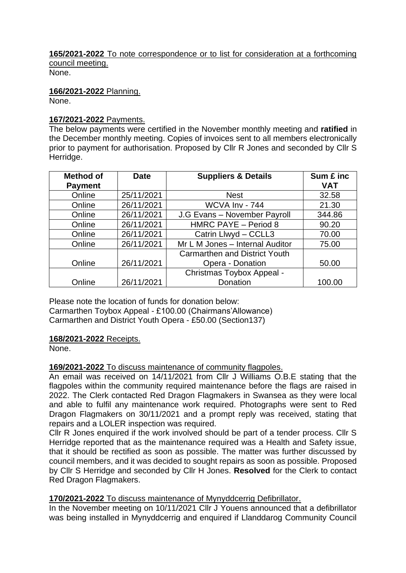# **165/2021-2022** To note correspondence or to list for consideration at a forthcoming council meeting.

None.

**166/2021-2022** Planning. None.

## **167/2021-2022** Payments.

The below payments were certified in the November monthly meeting and **ratified** in the December monthly meeting. Copies of invoices sent to all members electronically prior to payment for authorisation. Proposed by Cllr R Jones and seconded by Cllr S Herridge.

| <b>Method of</b> | <b>Date</b> | <b>Suppliers &amp; Details</b>       | Sum £ inc  |
|------------------|-------------|--------------------------------------|------------|
| <b>Payment</b>   |             |                                      | <b>VAT</b> |
| Online           | 25/11/2021  | <b>Nest</b>                          | 32.58      |
| Online           | 26/11/2021  | WCVA Inv - 744                       | 21.30      |
| Online           | 26/11/2021  | J.G Evans - November Payroll         | 344.86     |
| Online           | 26/11/2021  | HMRC PAYE - Period 8                 | 90.20      |
| Online           | 26/11/2021  | Catrin Llwyd - CCLL3                 | 70.00      |
| Online           | 26/11/2021  | Mr L M Jones - Internal Auditor      | 75.00      |
|                  |             | <b>Carmarthen and District Youth</b> |            |
| Online           | 26/11/2021  | Opera - Donation                     | 50.00      |
|                  |             | Christmas Toybox Appeal -            |            |
| Online           | 26/11/2021  | Donation                             | 100.00     |

Please note the location of funds for donation below: Carmarthen Toybox Appeal - £100.00 (Chairmans'Allowance) Carmarthen and District Youth Opera - £50.00 (Section137)

# **168/2021-2022** Receipts.

None.

# **169/2021-2022** To discuss maintenance of community flagpoles.

An email was received on 14/11/2021 from Cllr J Williams O.B.E stating that the flagpoles within the community required maintenance before the flags are raised in 2022. The Clerk contacted Red Dragon Flagmakers in Swansea as they were local and able to fulfil any maintenance work required. Photographs were sent to Red Dragon Flagmakers on 30/11/2021 and a prompt reply was received, stating that repairs and a LOLER inspection was required.

Cllr R Jones enquired if the work involved should be part of a tender process. Cllr S Herridge reported that as the maintenance required was a Health and Safety issue, that it should be rectified as soon as possible. The matter was further discussed by council members, and it was decided to sought repairs as soon as possible. Proposed by Cllr S Herridge and seconded by Cllr H Jones. **Resolved** for the Clerk to contact Red Dragon Flagmakers.

# **170/2021-2022** To discuss maintenance of Mynyddcerrig Defibrillator.

In the November meeting on 10/11/2021 Cllr J Youens announced that a defibrillator was being installed in Mynyddcerrig and enquired if Llanddarog Community Council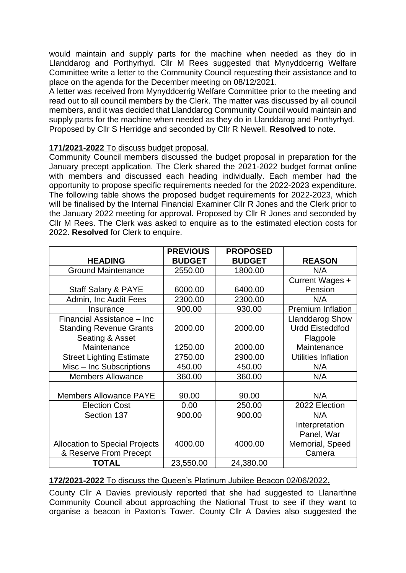would maintain and supply parts for the machine when needed as they do in Llanddarog and Porthyrhyd. Cllr M Rees suggested that Mynyddcerrig Welfare Committee write a letter to the Community Council requesting their assistance and to place on the agenda for the December meeting on 08/12/2021.

A letter was received from Mynyddcerrig Welfare Committee prior to the meeting and read out to all council members by the Clerk. The matter was discussed by all council members, and it was decided that Llanddarog Community Council would maintain and supply parts for the machine when needed as they do in Llanddarog and Porthyrhyd. Proposed by Cllr S Herridge and seconded by Cllr R Newell. **Resolved** to note.

## **171/2021-2022** To discuss budget proposal.

Community Council members discussed the budget proposal in preparation for the January precept application. The Clerk shared the 2021-2022 budget format online with members and discussed each heading individually. Each member had the opportunity to propose specific requirements needed for the 2022-2023 expenditure. The following table shows the proposed budget requirements for 2022-2023, which will be finalised by the Internal Financial Examiner CIIr R Jones and the Clerk prior to the January 2022 meeting for approval. Proposed by Cllr R Jones and seconded by Cllr M Rees. The Clerk was asked to enquire as to the estimated election costs for 2022. **Resolved** for Clerk to enquire.

|                                       | <b>PREVIOUS</b> | <b>PROPOSED</b> |                            |
|---------------------------------------|-----------------|-----------------|----------------------------|
| <b>HEADING</b>                        | <b>BUDGET</b>   | <b>BUDGET</b>   | <b>REASON</b>              |
| <b>Ground Maintenance</b>             | 2550.00         | 1800.00         | N/A                        |
|                                       |                 |                 | Current Wages +            |
| <b>Staff Salary &amp; PAYE</b>        | 6000.00         | 6400.00         | Pension                    |
| Admin, Inc Audit Fees                 | 2300.00         | 2300.00         | N/A                        |
| Insurance                             | 900.00          | 930.00          | Premium Inflation          |
| Financial Assistance - Inc            |                 |                 | <b>Llanddarog Show</b>     |
| <b>Standing Revenue Grants</b>        | 2000.00         | 2000.00         | <b>Urdd Eisteddfod</b>     |
| Seating & Asset                       |                 |                 | Flagpole                   |
| Maintenance                           | 1250.00         | 2000.00         | Maintenance                |
| <b>Street Lighting Estimate</b>       | 2750.00         | 2900.00         | <b>Utilities Inflation</b> |
| Misc - Inc Subscriptions              | 450.00          | 450.00          | N/A                        |
| <b>Members Allowance</b>              | 360.00          | 360.00          | N/A                        |
|                                       |                 |                 |                            |
| <b>Members Allowance PAYE</b>         | 90.00           | 90.00           | N/A                        |
| <b>Election Cost</b>                  | 0.00            | 250.00          | 2022 Election              |
| Section 137                           | 900.00          | 900.00          | N/A                        |
|                                       |                 |                 | Interpretation             |
|                                       |                 |                 | Panel, War                 |
| <b>Allocation to Special Projects</b> | 4000.00         | 4000.00         | Memorial, Speed            |
| & Reserve From Precept                |                 |                 | Camera                     |
| <b>TOTAL</b>                          | 23,550.00       | 24,380.00       |                            |

## **172/2021-2022** To discuss the Queen's Platinum Jubilee Beacon 02/06/2022**.**

County Cllr A Davies previously reported that she had suggested to Llanarthne Community Council about approaching the National Trust to see if they want to organise a beacon in Paxton's Tower. County Cllr A Davies also suggested the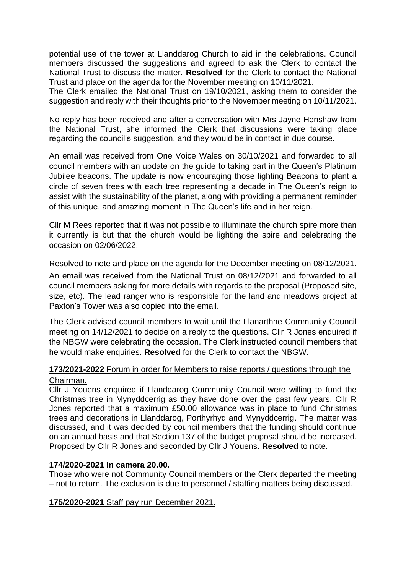potential use of the tower at Llanddarog Church to aid in the celebrations. Council members discussed the suggestions and agreed to ask the Clerk to contact the National Trust to discuss the matter. **Resolved** for the Clerk to contact the National Trust and place on the agenda for the November meeting on 10/11/2021.

The Clerk emailed the National Trust on 19/10/2021, asking them to consider the suggestion and reply with their thoughts prior to the November meeting on 10/11/2021.

No reply has been received and after a conversation with Mrs Jayne Henshaw from the National Trust, she informed the Clerk that discussions were taking place regarding the council's suggestion, and they would be in contact in due course.

An email was received from One Voice Wales on 30/10/2021 and forwarded to all council members with an update on the guide to taking part in the Queen's Platinum Jubilee beacons. The update is now encouraging those lighting Beacons to plant a circle of seven trees with each tree representing a decade in The Queen's reign to assist with the sustainability of the planet, along with providing a permanent reminder of this unique, and amazing moment in The Queen's life and in her reign.

Cllr M Rees reported that it was not possible to illuminate the church spire more than it currently is but that the church would be lighting the spire and celebrating the occasion on 02/06/2022.

Resolved to note and place on the agenda for the December meeting on 08/12/2021.

An email was received from the National Trust on 08/12/2021 and forwarded to all council members asking for more details with regards to the proposal (Proposed site, size, etc). The lead ranger who is responsible for the land and meadows project at Paxton's Tower was also copied into the email.

The Clerk advised council members to wait until the Llanarthne Community Council meeting on 14/12/2021 to decide on a reply to the questions. Cllr R Jones enquired if the NBGW were celebrating the occasion. The Clerk instructed council members that he would make enquiries. **Resolved** for the Clerk to contact the NBGW.

# **173/2021-2022** Forum in order for Members to raise reports / questions through the Chairman.

Cllr J Youens enquired if Llanddarog Community Council were willing to fund the Christmas tree in Mynyddcerrig as they have done over the past few years. Cllr R Jones reported that a maximum £50.00 allowance was in place to fund Christmas trees and decorations in Llanddarog, Porthyrhyd and Mynyddcerrig. The matter was discussed, and it was decided by council members that the funding should continue on an annual basis and that Section 137 of the budget proposal should be increased. Proposed by Cllr R Jones and seconded by Cllr J Youens. **Resolved** to note.

## **174/2020-2021 In camera 20.00.**

Those who were not Community Council members or the Clerk departed the meeting – not to return. The exclusion is due to personnel / staffing matters being discussed.

## **175/2020-2021** Staff pay run December 2021.